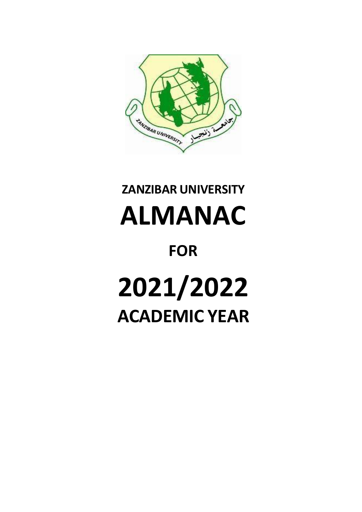

# **ZANZIBAR UNIVERSITY ALMANAC FOR 2021/2022 ACADEMIC YEAR**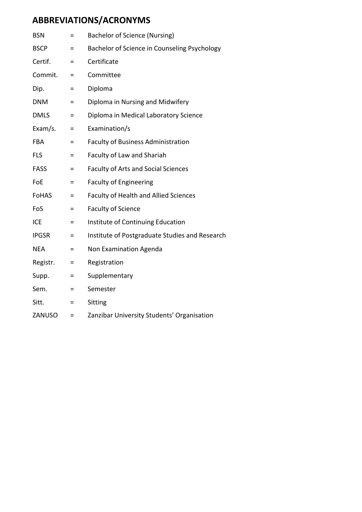# **ABBREVIATIONS/ACRONYMS**

| <b>BSN</b>   | Ξ        | Bachelor of Science (Nursing)                  |
|--------------|----------|------------------------------------------------|
| <b>BSCP</b>  | $=$      | Bachelor of Science in Counseling Psychology   |
| Certif.      | $=$      | Certificate                                    |
| Commit.      | Ξ        | Committee                                      |
| Dip.         | $=$      | Diploma                                        |
| <b>DNM</b>   | $=$      | Diploma in Nursing and Midwifery               |
| <b>DMLS</b>  | $=$      | Diploma in Medical Laboratory Science          |
| Exam/s.      | $=$      | Examination/s                                  |
| <b>FBA</b>   | $=$      | <b>Faculty of Business Administration</b>      |
| <b>FLS</b>   | $=$      | Faculty of Law and Shariah                     |
| <b>FASS</b>  | Ξ        | <b>Faculty of Arts and Social Sciences</b>     |
| FoE          | Ξ        | <b>Faculty of Engineering</b>                  |
| <b>FoHAS</b> | Ξ        | <b>Faculty of Health and Allied Sciences</b>   |
| FoS          | Ξ        | <b>Faculty of Science</b>                      |
| <b>ICE</b>   | Ξ        | Institute of Continuing Education              |
| <b>IPGSR</b> | Ξ        | Institute of Postgraduate Studies and Research |
| <b>NEA</b>   | $=$      | Non Examination Agenda                         |
| Registr.     | $=$      | Registration                                   |
| Supp.        | Ξ        | Supplementary                                  |
| Sem.         | Ξ        | Semester                                       |
| Sitt.        | $\equiv$ | Sitting                                        |
| ZANUSO       | $=$      | Zanzibar University Students' Organisation     |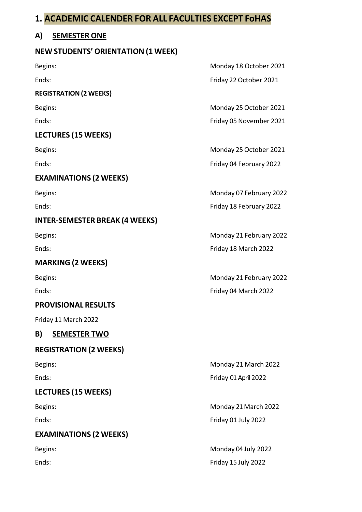## **1. ACADEMIC CALENDER FOR ALL FACULTIES EXCEPT FoHAS**

#### **A) SEMESTER ONE**

#### **NEW STUDENTS' ORIENTATION (1 WEEK)**

**REGISTRATION(2 WEEKS)**

#### **LECTURES (15 WEEKS)**

#### **EXAMINATIONS (2 WEEKS)**

#### **INTER-SEMESTER BREAK (4 WEEKS)**

## **MARKING (2 WEEKS)**

#### **PROVISIONAL RESULTS**

Friday 11 March 2022

## **B) SEMESTER TWO**

## **REGISTRATION (2 WEEKS)**

## **LECTURES (15 WEEKS)**

## **EXAMINATIONS (2 WEEKS)**

Begins: Monday 18 October 2021 Ends: Friday 22 October 2021

Begins: Begins: Exercise 2021 Ends: Friday 05 November 2021

Begins: Begins: Exercise of the Contract of the Monday 25 October 2021 Ends: Friday 04 February 2022

Begins: Monday 07 February 2022 Ends: Friday 18 February 2022

Begins: Monday 21 February 2022 Ends: Friday 18 March 2022

Begins: Monday 21 February 2022 Ends: Friday 04 March 2022

Begins: Begins: Exercísion Company 21 Monday 21 March 2022 Ends: Friday 01April 2022

Begins: Begins: **Monday 21 March 2022** Ends: Friday 01 July 2022

Begins: Monday 04 July 2022 Ends: Friday 15 July 2022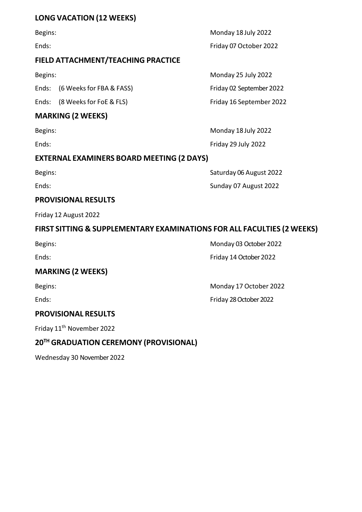#### **LONG VACATION (12 WEEKS)**

#### **FIELD ATTACHMENT/TEACHING PRACTICE**

Ends: (6 Weeks for FBA & FASS) Friday 02 September 2022

Ends: (8 Weeks for FoE & FLS) Friday 16 September 2022

#### **MARKING (2 WEEKS)**

#### **EXTERNAL EXAMINERS BOARD MEETING (2 DAYS)**

#### **PROVISIONAL RESULTS**

Friday 12 August 2022

#### **FIRST SITTING & SUPPLEMENTARY EXAMINATIONS FOR ALL FACULTIES (2 WEEKS)**

#### **MARKING (2 WEEKS)**

Begins: **Monday 17 October 2022** 

Ends: Friday 28 October 2022

#### **PROVISIONAL RESULTS**

Friday 11th November 2022

## **20TH GRADUATION CEREMONY (PROVISIONAL)**

Wednesday 30 November 2022

Begins: **Monday 18 July 2022** Ends: Friday 07 October 2022

Begins: **Monday 25 July 2022** 

Begins: Monday 18 July 2022 Ends: Friday 29 July 2022

Begins: Saturday 06 August 2022 Ends: Sunday 07 August 2022

Begins: Monday 03 October 2022

Ends: Friday 14 October 2022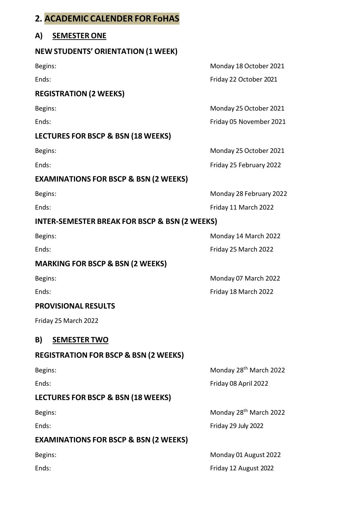# **2. ACADEMIC CALENDER FOR FoHAS**

#### **A) SEMESTER ONE**

#### **NEW STUDENTS' ORIENTATION (1 WEEK)**

#### **REGISTRATION (2 WEEKS)**

#### **LECTURES FOR BSCP & BSN (18 WEEKS)**

#### **EXAMINATIONS FOR BSCP & BSN (2 WEEKS)**

#### **INTER-SEMESTER BREAK FOR BSCP & BSN (2 WEEKS)**

#### **MARKING FOR BSCP & BSN (2 WEEKS)**

#### **PROVISIONAL RESULTS**

Friday 25 March 2022

#### **B) SEMESTER TWO**

#### **REGISTRATION FOR BSCP & BSN (2 WEEKS)**

#### **LECTURES FOR BSCP & BSN (18 WEEKS)**

#### **EXAMINATIONS FOR BSCP & BSN (2 WEEKS)**

Begins: Monday 18 October 2021 Ends: Friday 22 October 2021

Begins: Monday 25 October 2021

Ends: Friday 05 November 2021

Begins: Monday 25 October 2021

Ends: Friday 25 February 2022

Begins: Begins: Exercise of the Contractor of the Monday 28 February 2022 Ends: Ends: Ends: Ends: Ends: Ends: Ends: Ends: Ends: Ends: Ends: Ends: Ends: Ends: Ends: Ends: Ends: Ends: Ends: Ends: Ends: Ends: Ends: Ends: Ends: Ends: Ends: Ends: Ends: Ends: Ends: Ends: Ends: Ends: Ends: Ends: Ends:

Begins: Begins: **Monday 14 March 2022** Ends: Friday 25 March 2022

Begins: **Monday 07 March 2022** Ends: Friday 18 March 2022

Begins: Begins: **Monday 28th March 2022** Ends: Friday 08 April 2022

Begins: Begins: **Monday 28th March 2022** Ends: Friday 29 July 2022

Begins: **Monday 01 August 2022** Ends: Friday 12 August 2022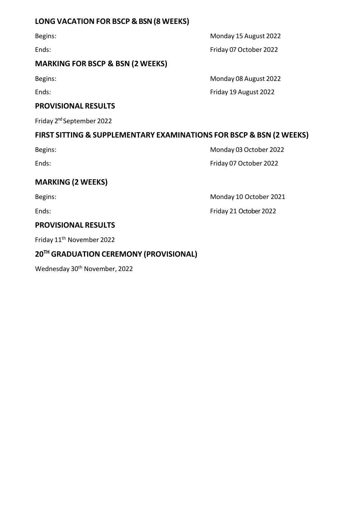#### **LONG VACATION FOR BSCP & BSN (8 WEEKS)**

#### **MARKING FOR BSCP & BSN (2 WEEKS)**

#### **PROVISIONAL RESULTS**

Friday 2<sup>nd</sup> September 2022

#### **FIRST SITTING & SUPPLEMENTARY EXAMINATIONS FOR BSCP & BSN (2 WEEKS)**

Begins: Monday 03 October 2022 Ends: Friday 07 October 2022

#### **MARKING (2 WEEKS)**

Begins: Begins: Begins: Begins: Begins: Begins: Begins: Begins: Begins: Begins: Begins: Begins: Begins: Begins: Begins: Begins: Begins: Begins: Begins: Begins: Begins: Begins: Begins: Begins: Begins: Begins: Begins: Begins

# **PROVISIONAL RESULTS**

Friday 11th November 2022

#### **20TH GRADUATION CEREMONY (PROVISIONAL)**

Wednesday 30<sup>th</sup> November, 2022

Begins: **Monday 15 August 2022** Ends: Friday 07 October 2022

Begins: Monday 08 August 2022 Ends: Friday 19 August 2022

Ends: Friday 21 October 2022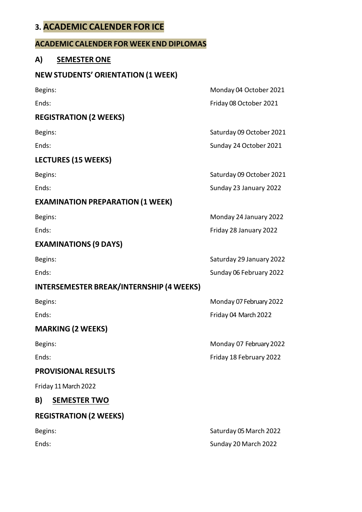## **3. ACADEMIC CALENDER FOR ICE**

#### **ACADEMIC CALENDER FOR WEEK END DIPLOMAS**

#### **A) SEMESTER ONE**

#### **NEW STUDENTS' ORIENTATION (1 WEEK)**

#### **REGISTRATION (2 WEEKS)**

#### **LECTURES (15 WEEKS)**

#### **EXAMINATION PREPARATION (1 WEEK)**

#### **EXAMINATIONS (9 DAYS)**

#### **INTERSEMESTER BREAK/INTERNSHIP (4 WEEKS)**

#### **MARKING (2 WEEKS)**

#### **PROVISIONAL RESULTS**

Friday 11 March 2022

#### **B) SEMESTER TWO**

**REGISTRATION (2 WEEKS)**

Begins: Monday 04 October 2021 Ends: Friday 08 October 2021

Begins: Saturday 09 October 2021

Ends: Sunday 24 October 2021

Begins: Saturday 09 October 2021 Ends: Sunday 23 January 2022

Begins: Monday 24 January 2022 Ends: Friday 28 January 2022

Begins: Saturday 29 January 2022 Ends: Sunday 06 February 2022

Begins: Monday 07 February 2022 Ends: Ends: Ends: Friday 04 March 2022

Begins: Monday 07 February2022 Ends: Friday 18 February 2022

Begins: Saturday 05 March 2022 Ends: Sunday 20 March 2022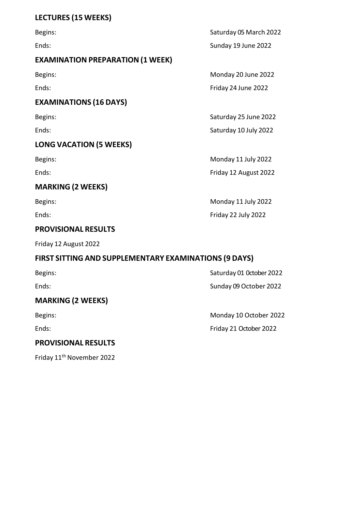# **LECTURES (15 WEEKS)**

| Begins:                                 | Saturday 05 March 2022 |
|-----------------------------------------|------------------------|
| Ends:                                   | Sunday 19 June 2022    |
| <b>EXAMINATION PREPARATION (1 WEEK)</b> |                        |
| Begins:                                 | Monday 20 June 2022    |
| Ends:                                   | Friday 24 June 2022    |
| <b>EXAMINATIONS (16 DAYS)</b>           |                        |
| Begins:                                 | Saturday 25 June 2022  |
| Ends:                                   | Saturday 10 July 2022  |
| <b>LONG VACATION (5 WEEKS)</b>          |                        |
| Begins:                                 | Monday 11 July 2022    |
| Ends:                                   | Friday 12 August 2022  |
| <b>MARKING (2 WEEKS)</b>                |                        |
| Begins:                                 | Monday 11 July 2022    |
| Ends:                                   | Friday 22 July 2022    |
| <b>PROVISIONAL RESULTS</b>              |                        |
|                                         |                        |

Friday 12 August 2022

# **FIRST SITTING AND SUPPLEMENTARY EXAMINATIONS (9 DAYS)**

| Begins:                    | Saturday 01 October 2022 |
|----------------------------|--------------------------|
| Ends:                      | Sunday 09 October 2022   |
| <b>MARKING (2 WEEKS)</b>   |                          |
| Begins:                    | Monday 10 October 2022   |
| Ends:                      | Friday 21 October 2022   |
| <b>PROVISIONAL RESULTS</b> |                          |

Friday 11th November 2022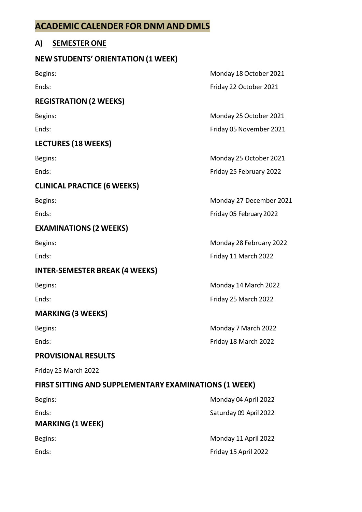## **ACADEMIC CALENDER FOR DNM AND DMLS**

#### **A) SEMESTER ONE**

#### **NEW STUDENTS' ORIENTATION (1 WEEK)**

#### **REGISTRATION (2 WEEKS)**

#### **LECTURES (18 WEEKS)**

#### **CLINICAL PRACTICE (6 WEEKS)**

#### **EXAMINATIONS (2 WEEKS)**

#### **INTER-SEMESTER BREAK (4 WEEKS)**

#### **MARKING (3 WEEKS)**

#### **PROVISIONAL RESULTS**

Friday 25 March 2022

#### **FIRST SITTING AND SUPPLEMENTARY EXAMINATIONS (1 WEEK)**

| Begins:                          | Monday 04 April 2022   |
|----------------------------------|------------------------|
| Ends:<br><b>MARKING (1 WEEK)</b> | Saturday 09 April 2022 |
| Begins:                          | Monday 11 April 2022   |
| Ends:                            | Friday 15 April 2022   |

Begins: Begins: Exercise of the Contractor of the Monday 18 October 2021 Ends: Friday 22 October 2021

Begins: Begins: Exercise of the Contract of the Monday 25 October 2021 Ends: Friday 05 November 2021

Begins: Begins: Electronic Contract Contract Contract Contract Contract Contract Contract Contract Contract Contract Contract Contract Contract Contract Contract Contract Contract Contract Contract Contract Contract Contra Ends: Friday 25 February 2022

Begins: Begins: Begins: Begins: Begins: Begins: Begins: Begins: Begins: Begins: Begins: Begins: Begins: Begins: Begins: Begins: Begins: Begins: Begins: Begins: Begins: Begins: Begins: Begins: Begins: Begins: Begins: Begins Ends: Friday 05 February2022

Begins: Monday 28 February 2022 Ends: Friday 11 March 2022

Begins: Begins: Exercísion Company 14 March 2022 Ends: Friday 25 March 2022

Begins: **Monday 7 March 2022** Ends: Friday 18 March 2022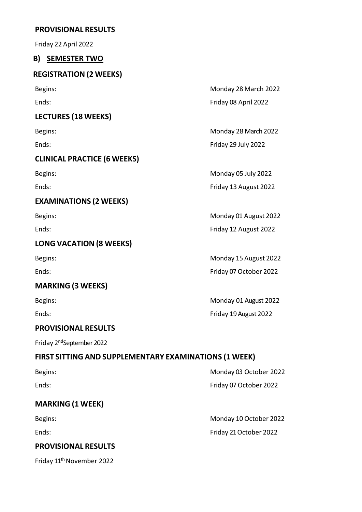#### **PROVISIONAL RESULTS**

Friday 22 April 2022

#### **B) SEMESTER TWO**

## **REGISTRATION (2 WEEKS)**

| Begins:                            | Monday 28 March 2022   |
|------------------------------------|------------------------|
| Ends:                              | Friday 08 April 2022   |
| <b>LECTURES (18 WEEKS)</b>         |                        |
| Begins:                            | Monday 28 March 2022   |
| Ends:                              | Friday 29 July 2022    |
| <b>CLINICAL PRACTICE (6 WEEKS)</b> |                        |
| Begins:                            | Monday 05 July 2022    |
| Ends:                              | Friday 13 August 2022  |
| <b>EXAMINATIONS (2 WEEKS)</b>      |                        |
| Begins:                            | Monday 01 August 2022  |
| Ends:                              | Friday 12 August 2022  |
| <b>LONG VACATION (8 WEEKS)</b>     |                        |
| Begins:                            | Monday 15 August 2022  |
| Ends:                              | Friday 07 October 2022 |
| <b>MARKING (3 WEEKS)</b>           |                        |
| Begins:                            | Monday 01 August 2022  |

Ends: Friday 19 August 2022

#### **PROVISIONAL RESULTS**

Friday 2<sup>nd</sup>September 2022

# **FIRST SITTING AND SUPPLEMENTARY EXAMINATIONS (1 WEEK)**

| Begins: | Monday 03 October 2022 |
|---------|------------------------|
| Ends:   | Friday 07 October 2022 |

## **MARKING (1 WEEK)**

#### **PROVISIONAL RESULTS**

Friday 11<sup>th</sup> November 2022

Begins: Begins: Exercísion Company 10 October 2022 Ends: Friday 21October 2022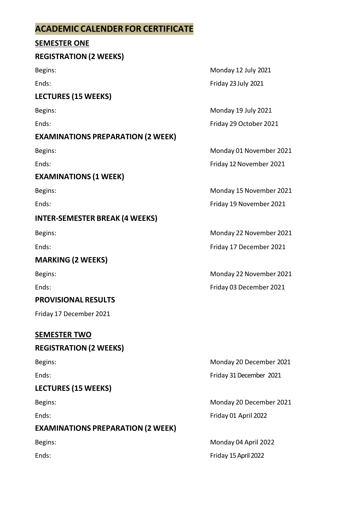# **ACADEMIC CALENDER FOR CERTIFICATE**

#### **SEMESTER ONE**

#### **REGISTRATION (2 WEEKS)**

#### **LECTURES (15 WEEKS)**

## **EXAMINATIONS PREPARATION (2 WEEK)**

## **EXAMINATIONS (1 WEEK)**

## **INTER-SEMESTER BREAK (4 WEEKS)**

## **MARKING (2 WEEKS)**

#### **PROVISIONAL RESULTS**

Friday 17 December 2021

#### **SEMESTER TWO**

## **REGISTRATION (2 WEEKS)**

## **LECTURES (15 WEEKS)**

## **EXAMINATIONS PREPARATION (2 WEEK)**

Begins: Monday 12 July 2021 Ends: Friday 23 July 2021

Begins: Monday 19 July 2021 Ends: Friday 29 October 2021

Begins: Monday 01 November 2021 Ends: Friday 12 November 2021

Begins: Monday 15 November 2021 Ends: Friday 19 November 2021

Begins: Begins: Exercise of the Contractor of the Monday 22 November 2021 Ends: Friday 17 December 2021

Begins: Begins: Exercise of the Contractor of the Monday 22 November 2021 Ends: Friday 03 December 2021

Begins: Monday 20 December 2021 Ends: Friday 31 December 2021

Begins: Begins: Electronic Contract Contract Contract Contract Contract Contract Contract Contract Contract Contract Contract Contract Contract Contract Contract Contract Contract Contract Contract Contract Contract Contra Ends: Friday 01 April 2022

Begins: Monday 04 April 2022 Ends: Friday 15 April 2022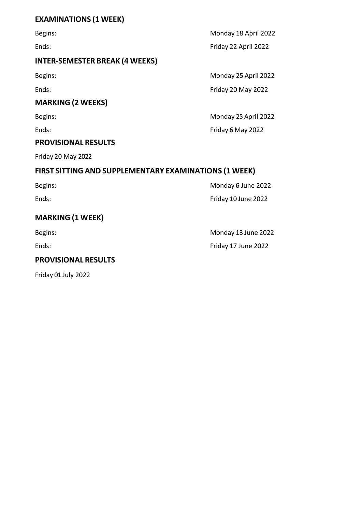#### **EXAMINATIONS (1 WEEK)**

#### **INTER-SEMESTER BREAK (4 WEEKS)**

#### **MARKING (2 WEEKS)**

#### **PROVISIONAL RESULTS**

Friday 20 May 2022

## **FIRST SITTING AND SUPPLEMENTARY EXAMINATIONS (1 WEEK)**

| Begins: | Monday 6 June 2022  |
|---------|---------------------|
| Ends:   | Friday 10 June 2022 |

# **MARKING (1 WEEK)**

## **PROVISIONAL RESULTS**

Friday 01 July 2022

Begins: Monday 18 April 2022 Ends: Friday 22 April 2022

Begins: Monday 25 April 2022 Ends: Friday 20 May 2022

Begins: Monday 25 April 2022 Ends: Friday 6 May 2022

Begins: Begins: Example 2022 Ends: Ends: Ends: Friday 17 June 2022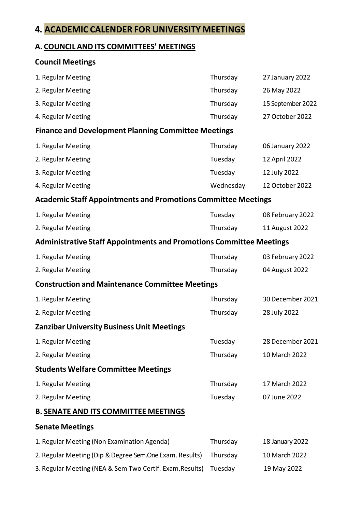## **4. ACADEMIC CALENDER FOR UNIVERSITY MEETINGS**

#### **A. COUNCIL AND ITS COMMITTEES' MEETINGS**

# **Council Meetings** 1. Regular Meeting Thursday 27 January 2022 2. Regular Meeting Thursday 26 May 2022 3. Regular Meeting Thursday 15 September 2022 4. Regular Meeting Thursday 27 October 2022 **Finance and Development Planning Committee Meetings** 1. Regular Meeting Thursday 1. Regular Meeting 1. Regular Meeting 2. Regular Meeting 2022 3. Regular Meeting Tuesday 12 July 2022 4. Regular Meeting and the control of the Wednesday and Medicine 12 October 2022 **Academic Staff Appointments and Promotions Committee Meetings** 1. Regular Meeting Tuesday Communication Communication Communication Communication Communication Communication 2. Regular Meeting Thursday 11 August 2022 **Administrative Staff Appointments and Promotions Committee Meetings** 1. Regular Meeting Thursday 03 February 2022 2. Regular Meeting 2022 **Construction and Maintenance Committee Meetings** 1. Regular Meeting Thursday 30 December 2021 2. Regular Meeting Thursday 28 July 2022 **Zanzibar University Business Unit Meetings** 1. Regular Meeting Tuesday 28 December 2021 2. Regular Meeting Thursday 10 March 2022 **Students Welfare Committee Meetings** 1. Regular Meeting Thursday 17 March 2022 2. Regular Meeting 2022 **B. SENATE AND ITS COMMITTEE MEETINGS**

#### **Senate Meetings**

| 1. Regular Meeting (Non Examination Agenda)              | Thursday | 18 January 2022 |
|----------------------------------------------------------|----------|-----------------|
| 2. Regular Meeting (Dip & Degree Sem. One Exam. Results) | Thursdav | 10 March 2022   |
| 3. Regular Meeting (NEA & Sem Two Certif. Exam. Results) | Tuesdav  | 19 May 2022     |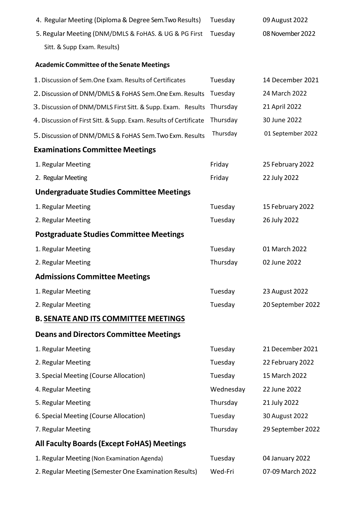| 4. Regular Meeting (Diploma & Degree Sem. Two Results)            | Tuesday   | 09 August 2022    |
|-------------------------------------------------------------------|-----------|-------------------|
| 5. Regular Meeting (DNM/DMLS & FoHAS. & UG & PG First             | Tuesday   | 08 November 2022  |
| Sitt. & Supp Exam. Results)                                       |           |                   |
| <b>Academic Committee of the Senate Meetings</b>                  |           |                   |
| 1. Discussion of Sem. One Exam. Results of Certificates           | Tuesday   | 14 December 2021  |
| 2. Discussion of DNM/DMLS & FoHAS Sem.One Exm. Results            | Tuesday   | 24 March 2022     |
| 3. Discussion of DNM/DMLS First Sitt. & Supp. Exam. Results       | Thursday  | 21 April 2022     |
| 4. Discussion of First Sitt. & Supp. Exam. Results of Certificate | Thursday  | 30 June 2022      |
| 5. Discussion of DNM/DMLS & FoHAS Sem. Two Exm. Results           | Thursday  | 01 September 2022 |
| <b>Examinations Committee Meetings</b>                            |           |                   |
| 1. Regular Meeting                                                | Friday    | 25 February 2022  |
| 2. Regular Meeting                                                | Friday    | 22 July 2022      |
| <b>Undergraduate Studies Committee Meetings</b>                   |           |                   |
| 1. Regular Meeting                                                | Tuesday   | 15 February 2022  |
| 2. Regular Meeting                                                | Tuesday   | 26 July 2022      |
| <b>Postgraduate Studies Committee Meetings</b>                    |           |                   |
| 1. Regular Meeting                                                | Tuesday   | 01 March 2022     |
| 2. Regular Meeting                                                | Thursday  | 02 June 2022      |
| <b>Admissions Committee Meetings</b>                              |           |                   |
| 1. Regular Meeting                                                | Tuesday   | 23 August 2022    |
| 2. Regular Meeting                                                | Tuesday   | 20 September 2022 |
| <b>B. SENATE AND ITS COMMITTEE MEETINGS</b>                       |           |                   |
| <b>Deans and Directors Committee Meetings</b>                     |           |                   |
| 1. Regular Meeting                                                | Tuesday   | 21 December 2021  |
| 2. Regular Meeting                                                | Tuesday   | 22 February 2022  |
| 3. Special Meeting (Course Allocation)                            | Tuesday   | 15 March 2022     |
| 4. Regular Meeting                                                | Wednesday | 22 June 2022      |
| 5. Regular Meeting                                                | Thursday  | 21 July 2022      |
| 6. Special Meeting (Course Allocation)                            | Tuesday   | 30 August 2022    |
| 7. Regular Meeting                                                | Thursday  | 29 September 2022 |
| <b>All Faculty Boards (Except FoHAS) Meetings</b>                 |           |                   |
| 1. Regular Meeting (Non Examination Agenda)                       | Tuesday   | 04 January 2022   |
| 2. Regular Meeting (Semester One Examination Results)             | Wed-Fri   | 07-09 March 2022  |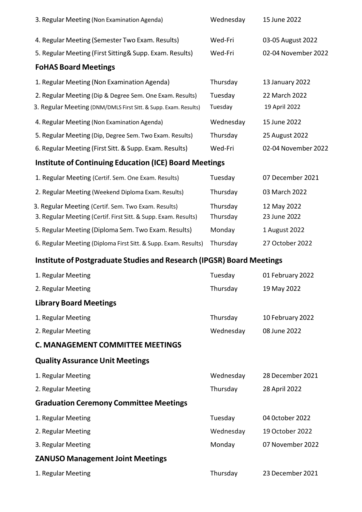| 3. Regular Meeting (Non Examination Agenda)                                  | Wednesday | 15 June 2022        |
|------------------------------------------------------------------------------|-----------|---------------------|
| 4. Regular Meeting (Semester Two Exam. Results)                              | Wed-Fri   | 03-05 August 2022   |
| 5. Regular Meeting (First Sitting& Supp. Exam. Results)                      | Wed-Fri   | 02-04 November 2022 |
| <b>FoHAS Board Meetings</b>                                                  |           |                     |
| 1. Regular Meeting (Non Examination Agenda)                                  | Thursday  | 13 January 2022     |
| 2. Regular Meeting (Dip & Degree Sem. One Exam. Results)                     | Tuesday   | 22 March 2022       |
| 3. Regular Meeting (DNM/DMLS First Sitt. & Supp. Exam. Results)              | Tuesday   | 19 April 2022       |
| 4. Regular Meeting (Non Examination Agenda)                                  | Wednesday | 15 June 2022        |
| 5. Regular Meeting (Dip, Degree Sem. Two Exam. Results)                      | Thursday  | 25 August 2022      |
| 6. Regular Meeting (First Sitt. & Supp. Exam. Results)                       | Wed-Fri   | 02-04 November 2022 |
| <b>Institute of Continuing Education (ICE) Board Meetings</b>                |           |                     |
| 1. Regular Meeting (Certif. Sem. One Exam. Results)                          | Tuesday   | 07 December 2021    |
| 2. Regular Meeting (Weekend Diploma Exam. Results)                           | Thursday  | 03 March 2022       |
| 3. Regular Meeting (Certif. Sem. Two Exam. Results)                          | Thursday  | 12 May 2022         |
| 3. Regular Meeting (Certif. First Sitt. & Supp. Exam. Results)               | Thursday  | 23 June 2022        |
| 5. Regular Meeting (Diploma Sem. Two Exam. Results)                          | Monday    | 1 August 2022       |
| 6. Regular Meeting (Diploma First Sitt. & Supp. Exam. Results)               | Thursday  | 27 October 2022     |
| <b>Institute of Postgraduate Studies and Research (IPGSR) Board Meetings</b> |           |                     |
| 1. Regular Meeting                                                           | Tuesday   | 01 February 2022    |
| 2. Regular Meeting                                                           | Thursday  | 19 May 2022         |
| <b>Library Board Meetings</b>                                                |           |                     |
| 1. Regular Meeting                                                           | Thursday  | 10 February 2022    |
| 2. Regular Meeting                                                           | Wednesday | 08 June 2022        |
| <b>C. MANAGEMENT COMMITTEE MEETINGS</b>                                      |           |                     |
| <b>Quality Assurance Unit Meetings</b>                                       |           |                     |
| 1. Regular Meeting                                                           | Wednesday | 28 December 2021    |
| 2. Regular Meeting                                                           | Thursday  | 28 April 2022       |
| <b>Graduation Ceremony Committee Meetings</b>                                |           |                     |
| 1. Regular Meeting                                                           | Tuesday   | 04 October 2022     |

2. Regular Meeting and Communication of the Wednesday and Media of the Wednesday of the 2022

**ZANUSO Management Joint Meetings**

3. Regular Meeting Monday Monday 07 November 2022

1. Regular Meeting Thursday 23 December 2021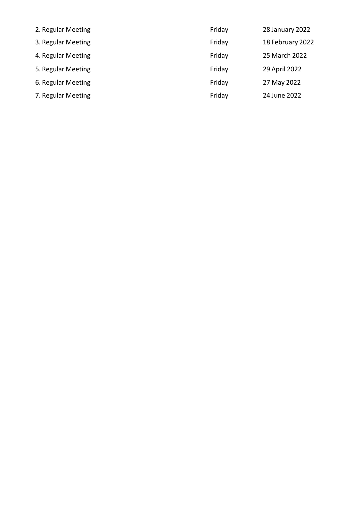| 2. Regular Meeting | Friday | 28 January 2022  |
|--------------------|--------|------------------|
| 3. Regular Meeting | Friday | 18 February 2022 |
| 4. Regular Meeting | Friday | 25 March 2022    |
| 5. Regular Meeting | Friday | 29 April 2022    |
| 6. Regular Meeting | Friday | 27 May 2022      |
| 7. Regular Meeting | Friday | 24 June 2022     |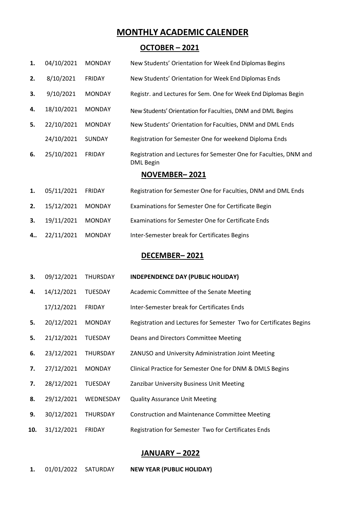#### **MONTHLY ACADEMIC CALENDER**

#### **OCTOBER – 2021**

|    |            |               | NOVEMBER-2021                                                                  |
|----|------------|---------------|--------------------------------------------------------------------------------|
| 6. | 25/10/2021 | <b>FRIDAY</b> | Registration and Lectures for Semester One for Faculties, DNM and<br>DML Begin |
|    | 24/10/2021 | <b>SUNDAY</b> | Registration for Semester One for weekend Diploma Ends                         |
| 5. | 22/10/2021 | <b>MONDAY</b> | New Students' Orientation for Faculties, DNM and DML Ends                      |
| 4. | 18/10/2021 | <b>MONDAY</b> | New Students' Orientation for Faculties, DNM and DML Begins                    |
| 3. | 9/10/2021  | <b>MONDAY</b> | Registr. and Lectures for Sem. One for Week End Diplomas Begin                 |
| 2. | 8/10/2021  | <b>FRIDAY</b> | New Students' Orientation for Week End Diplomas Ends                           |
| 1. | 04/10/2021 | <b>MONDAY</b> | New Students' Orientation for Week End Diplomas Begins                         |

#### **1.** 05/11/2021 FRIDAY Registration for Semester One for Faculties, DNM and DML Ends

- **2.** 15/12/2021 MONDAY Examinations for Semester One for Certificate Begin
- **3.** 19/11/2021 MONDAY Examinations for Semester One for Certificate Ends
- **4..** 22/11/2021 MONDAY Inter-Semester break for Certificates Begins

#### **DECEMBER– 2021**

#### **3.** 09/12/2021 THURSDAY **INDEPENDENCE DAY (PUBLIC HOLIDAY)**

- **4.** 14/12/2021 TUESDAY Academic Committee of the Senate Meeting
- 17/12/2021 FRIDAY Inter-Semester break for Certificates Ends
- **5.** 20/12/2021 MONDAY Registration and Lectures for Semester Two for Certificates Begins
- **5.** 21/12/2021 TUESDAY Deans and Directors Committee Meeting
- **6.** 23/12/2021 THURSDAY ZANUSO and University Administration Joint Meeting
- **7.** 27/12/2021 MONDAY Clinical Practice for Semester One for DNM & DMLS Begins
- **7.** 28/12/2021 TUESDAY Zanzibar University Business Unit Meeting
- **8.** 29/12/2021 WEDNESDAY Quality Assurance Unit Meeting
- **9.** 30/12/2021 THURSDAY Construction and Maintenance Committee Meeting
- **10.** 31/12/2021 FRIDAY Registration for Semester Two for Certificates Ends

#### **JANUARY – 2022**

**1.** 01/01/2022 SATURDAY **NEW YEAR (PUBLIC HOLIDAY)**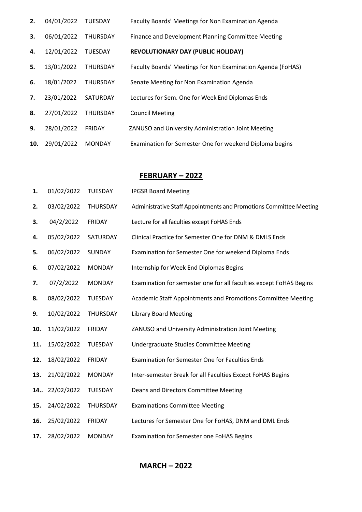| 2.  | 04/01/2022 | <b>TUESDAY</b>  | Faculty Boards' Meetings for Non Examination Agenda         |
|-----|------------|-----------------|-------------------------------------------------------------|
| 3.  | 06/01/2022 | THURSDAY        | Finance and Development Planning Committee Meeting          |
| 4.  | 12/01/2022 | <b>TUESDAY</b>  | <b>REVOLUTIONARY DAY (PUBLIC HOLIDAY)</b>                   |
| 5.  | 13/01/2022 | <b>THURSDAY</b> | Faculty Boards' Meetings for Non Examination Agenda (FoHAS) |
| 6.  | 18/01/2022 | <b>THURSDAY</b> | Senate Meeting for Non Examination Agenda                   |
| 7.  | 23/01/2022 | <b>SATURDAY</b> | Lectures for Sem. One for Week End Diplomas Ends            |
| 8.  | 27/01/2022 | <b>THURSDAY</b> | <b>Council Meeting</b>                                      |
| 9.  | 28/01/2022 | <b>FRIDAY</b>   | ZANUSO and University Administration Joint Meeting          |
| 10. | 29/01/2022 | <b>MONDAY</b>   | Examination for Semester One for weekend Diploma begins     |

#### **FEBRUARY – 2022**

| 1.  | 01/02/2022 | <b>TUESDAY</b>  | <b>IPGSR Board Meeting</b>                                         |  |
|-----|------------|-----------------|--------------------------------------------------------------------|--|
| 2.  | 03/02/2022 | THURSDAY        | Administrative Staff Appointments and Promotions Committee Meeting |  |
| 3.  | 04/2/2022  | <b>FRIDAY</b>   | Lecture for all faculties except FoHAS Ends                        |  |
| 4.  | 05/02/2022 | SATURDAY        | Clinical Practice for Semester One for DNM & DMLS Ends             |  |
| 5.  | 06/02/2022 | SUNDAY          | Examination for Semester One for weekend Diploma Ends              |  |
| 6.  | 07/02/2022 | <b>MONDAY</b>   | Internship for Week End Diplomas Begins                            |  |
| 7.  | 07/2/2022  | <b>MONDAY</b>   | Examination for semester one for all faculties except FoHAS Begins |  |
| 8.  | 08/02/2022 | <b>TUESDAY</b>  | Academic Staff Appointments and Promotions Committee Meeting       |  |
| 9.  | 10/02/2022 | <b>THURSDAY</b> | <b>Library Board Meeting</b>                                       |  |
| 10. | 11/02/2022 | <b>FRIDAY</b>   | ZANUSO and University Administration Joint Meeting                 |  |
| 11. | 15/02/2022 | TUESDAY         | Undergraduate Studies Committee Meeting                            |  |
| 12. | 18/02/2022 | <b>FRIDAY</b>   | <b>Examination for Semester One for Faculties Ends</b>             |  |
| 13. | 21/02/2022 | <b>MONDAY</b>   | Inter-semester Break for all Faculties Except FoHAS Begins         |  |
| 14  | 22/02/2022 | TUESDAY         | Deans and Directors Committee Meeting                              |  |
| 15. | 24/02/2022 | THURSDAY        | <b>Examinations Committee Meeting</b>                              |  |
| 16. | 25/02/2022 | <b>FRIDAY</b>   | Lectures for Semester One for FoHAS, DNM and DML Ends              |  |
| 17. | 28/02/2022 | <b>MONDAY</b>   | <b>Examination for Semester one FoHAS Begins</b>                   |  |

**MARCH – 2022**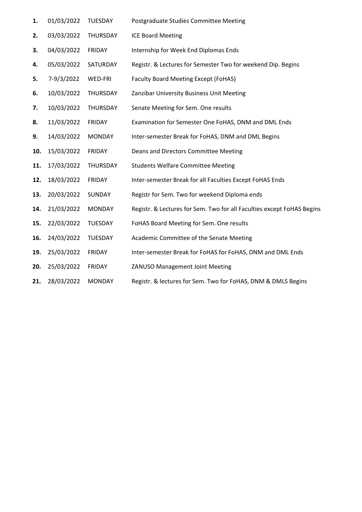| 1.  | 01/03/2022 | TUESDAY       | Postgraduate Studies Committee Meeting                                 |
|-----|------------|---------------|------------------------------------------------------------------------|
| 2.  | 03/03/2022 | THURSDAY      | <b>ICE Board Meeting</b>                                               |
| 3.  | 04/03/2022 | <b>FRIDAY</b> | Internship for Week End Diplomas Ends                                  |
| 4.  | 05/03/2022 | SATURDAY      | Registr. & Lectures for Semester Two for weekend Dip. Begins           |
| 5.  | 7-9/3/2022 | WED-FRI       | <b>Faculty Board Meeting Except (FoHAS)</b>                            |
| 6.  | 10/03/2022 | THURSDAY      | Zanzibar University Business Unit Meeting                              |
| 7.  | 10/03/2022 | THURSDAY      | Senate Meeting for Sem. One results                                    |
| 8.  | 11/03/2022 | <b>FRIDAY</b> | Examination for Semester One FoHAS, DNM and DML Ends                   |
| 9.  | 14/03/2022 | <b>MONDAY</b> | Inter-semester Break for FoHAS, DNM and DML Begins                     |
| 10. | 15/03/2022 | <b>FRIDAY</b> | Deans and Directors Committee Meeting                                  |
| 11. | 17/03/2022 | THURSDAY      | <b>Students Welfare Committee Meeting</b>                              |
| 12. | 18/03/2022 | <b>FRIDAY</b> | Inter-semester Break for all Faculties Except FoHAS Ends               |
| 13. | 20/03/2022 | SUNDAY        | Registr for Sem. Two for weekend Diploma ends                          |
| 14. | 21/03/2022 | <b>MONDAY</b> | Registr. & Lectures for Sem. Two for all Faculties except FoHAS Begins |
| 15. | 22/03/2022 | TUESDAY       | FoHAS Board Meeting for Sem. One results                               |
| 16. | 24/03/2022 | TUESDAY       | Academic Committee of the Senate Meeting                               |
| 19. | 25/03/2022 | <b>FRIDAY</b> | Inter-semester Break for FoHAS for FoHAS, DNM and DML Ends             |
| 20. | 25/03/2022 | <b>FRIDAY</b> | ZANUSO Management Joint Meeting                                        |
| 21. | 28/03/2022 | <b>MONDAY</b> | Registr. & lectures for Sem. Two for FoHAS, DNM & DMLS Begins          |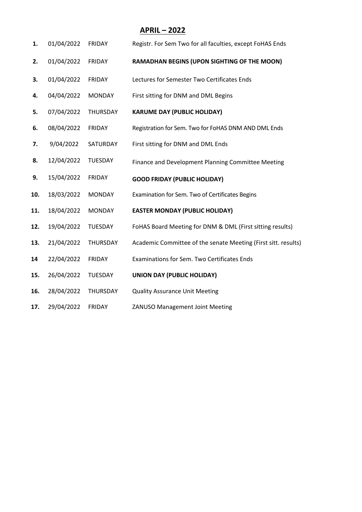#### **APRIL – 2022**

| 1.  | 01/04/2022 | <b>FRIDAY</b>  | Registr. For Sem Two for all faculties, except FoHAS Ends      |  |
|-----|------------|----------------|----------------------------------------------------------------|--|
| 2.  | 01/04/2022 | <b>FRIDAY</b>  | RAMADHAN BEGINS (UPON SIGHTING OF THE MOON)                    |  |
| 3.  | 01/04/2022 | <b>FRIDAY</b>  | Lectures for Semester Two Certificates Ends                    |  |
| 4.  | 04/04/2022 | <b>MONDAY</b>  | First sitting for DNM and DML Begins                           |  |
| 5.  | 07/04/2022 | THURSDAY       | <b>KARUME DAY (PUBLIC HOLIDAY)</b>                             |  |
| 6.  | 08/04/2022 | <b>FRIDAY</b>  | Registration for Sem. Two for FoHAS DNM AND DML Ends           |  |
| 7.  | 9/04/2022  | SATURDAY       | First sitting for DNM and DML Ends                             |  |
| 8.  | 12/04/2022 | TUESDAY        | Finance and Development Planning Committee Meeting             |  |
| 9.  | 15/04/2022 | <b>FRIDAY</b>  | <b>GOOD FRIDAY (PUBLIC HOLIDAY)</b>                            |  |
| 10. | 18/03/2022 | <b>MONDAY</b>  | Examination for Sem. Two of Certificates Begins                |  |
| 11. | 18/04/2022 | <b>MONDAY</b>  | <b>EASTER MONDAY (PUBLIC HOLIDAY)</b>                          |  |
| 12. | 19/04/2022 | <b>TUESDAY</b> | FoHAS Board Meeting for DNM & DML (First sitting results)      |  |
| 13. | 21/04/2022 | THURSDAY       | Academic Committee of the senate Meeting (First sitt. results) |  |
| 14  | 22/04/2022 | <b>FRIDAY</b>  | Examinations for Sem. Two Certificates Ends                    |  |
| 15. | 26/04/2022 | <b>TUESDAY</b> | <b>UNION DAY (PUBLIC HOLIDAY)</b>                              |  |
| 16. | 28/04/2022 | THURSDAY       | <b>Quality Assurance Unit Meeting</b>                          |  |
| 17. | 29/04/2022 | <b>FRIDAY</b>  | <b>ZANUSO Management Joint Meeting</b>                         |  |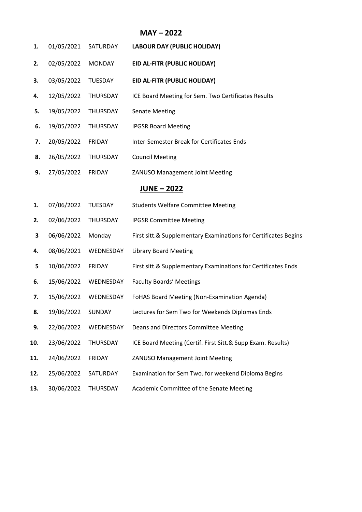# **MAY – 2022**

| 1.  | 01/05/2021       | SATURDAY       | <b>LABOUR DAY (PUBLIC HOLIDAY)</b>                              |  |  |  |
|-----|------------------|----------------|-----------------------------------------------------------------|--|--|--|
| 2.  | 02/05/2022       | <b>MONDAY</b>  | EID AL-FITR (PUBLIC HOLIDAY)                                    |  |  |  |
| 3.  | 03/05/2022       | <b>TUESDAY</b> | EID AL-FITR (PUBLIC HOLIDAY)                                    |  |  |  |
| 4.  | 12/05/2022       | THURSDAY       | ICE Board Meeting for Sem. Two Certificates Results             |  |  |  |
| 5.  | 19/05/2022       | THURSDAY       | <b>Senate Meeting</b>                                           |  |  |  |
| 6.  | 19/05/2022       | THURSDAY       | <b>IPGSR Board Meeting</b>                                      |  |  |  |
| 7.  | 20/05/2022       | <b>FRIDAY</b>  | Inter-Semester Break for Certificates Ends                      |  |  |  |
| 8.  | 26/05/2022       | THURSDAY       | <b>Council Meeting</b>                                          |  |  |  |
| 9.  | 27/05/2022       | <b>FRIDAY</b>  | ZANUSO Management Joint Meeting                                 |  |  |  |
|     | <b>JUNE-2022</b> |                |                                                                 |  |  |  |
| 1.  | 07/06/2022       | <b>TUESDAY</b> | <b>Students Welfare Committee Meeting</b>                       |  |  |  |
| 2.  | 02/06/2022       | THURSDAY       | <b>IPGSR Committee Meeting</b>                                  |  |  |  |
| 3   | 06/06/2022       | Monday         | First sitt.& Supplementary Examinations for Certificates Begins |  |  |  |
| 4.  | 08/06/2021       | WEDNESDAY      | <b>Library Board Meeting</b>                                    |  |  |  |
| 5   | 10/06/2022       | <b>FRIDAY</b>  | First sitt.& Supplementary Examinations for Certificates Ends   |  |  |  |
| 6.  | 15/06/2022       | WEDNESDAY      | <b>Faculty Boards' Meetings</b>                                 |  |  |  |
| 7.  | 15/06/2022       | WEDNESDAY      | FoHAS Board Meeting (Non-Examination Agenda)                    |  |  |  |
| 8.  | 19/06/2022       | SUNDAY         | Lectures for Sem Two for Weekends Diplomas Ends                 |  |  |  |
| 9.  | 22/06/2022       | WEDNESDAY      | Deans and Directors Committee Meeting                           |  |  |  |
| 10. | 23/06/2022       | THURSDAY       | ICE Board Meeting (Certif. First Sitt.& Supp Exam. Results)     |  |  |  |
| 11. | 24/06/2022       | <b>FRIDAY</b>  | ZANUSO Management Joint Meeting                                 |  |  |  |
| 12. | 25/06/2022       | SATURDAY       | Examination for Sem Two. for weekend Diploma Begins             |  |  |  |
| 13. | 30/06/2022       | THURSDAY       | Academic Committee of the Senate Meeting                        |  |  |  |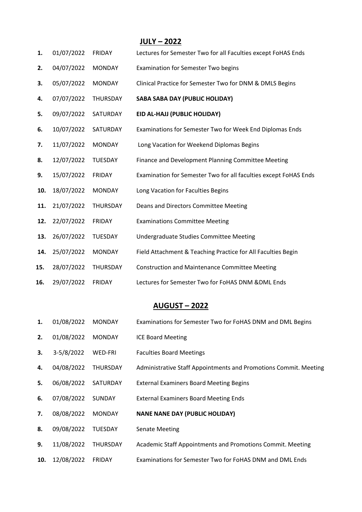|     |            |                 | <b>JULY-2022</b>                                                 |
|-----|------------|-----------------|------------------------------------------------------------------|
| 1.  | 01/07/2022 | <b>FRIDAY</b>   | Lectures for Semester Two for all Faculties except FoHAS Ends    |
| 2.  | 04/07/2022 | <b>MONDAY</b>   | <b>Examination for Semester Two begins</b>                       |
| 3.  | 05/07/2022 | <b>MONDAY</b>   | Clinical Practice for Semester Two for DNM & DMLS Begins         |
| 4.  | 07/07/2022 | THURSDAY        | <b>SABA SABA DAY (PUBLIC HOLIDAY)</b>                            |
| 5.  | 09/07/2022 | SATURDAY        | EID AL-HAJJ (PUBLIC HOLIDAY)                                     |
| 6.  | 10/07/2022 | SATURDAY        | Examinations for Semester Two for Week End Diplomas Ends         |
| 7.  | 11/07/2022 | <b>MONDAY</b>   | Long Vacation for Weekend Diplomas Begins                        |
| 8.  | 12/07/2022 | <b>TUESDAY</b>  | Finance and Development Planning Committee Meeting               |
| 9.  | 15/07/2022 | <b>FRIDAY</b>   | Examination for Semester Two for all faculties except FoHAS Ends |
| 10. | 18/07/2022 | <b>MONDAY</b>   | Long Vacation for Faculties Begins                               |
| 11. | 21/07/2022 | THURSDAY        | Deans and Directors Committee Meeting                            |
| 12. | 22/07/2022 | <b>FRIDAY</b>   | <b>Examinations Committee Meeting</b>                            |
| 13. | 26/07/2022 | TUESDAY         | Undergraduate Studies Committee Meeting                          |
| 14. | 25/07/2022 | <b>MONDAY</b>   | Field Attachment & Teaching Practice for All Faculties Begin     |
| 15. | 28/07/2022 | <b>THURSDAY</b> | <b>Construction and Maintenance Committee Meeting</b>            |
| 16. | 29/07/2022 | <b>FRIDAY</b>   | Lectures for Semester Two for FoHAS DNM &DML Ends                |

# **AUGUST – 2022**

| 1.  | 01/08/2022 | <b>MONDAY</b>   | Examinations for Semester Two for FoHAS DNM and DML Begins       |  |
|-----|------------|-----------------|------------------------------------------------------------------|--|
| 2.  | 01/08/2022 | <b>MONDAY</b>   | <b>ICE Board Meeting</b>                                         |  |
| 3.  | 3-5/8/2022 | WED-FRI         | <b>Faculties Board Meetings</b>                                  |  |
| 4.  | 04/08/2022 | <b>THURSDAY</b> | Administrative Staff Appointments and Promotions Commit. Meeting |  |
| 5.  | 06/08/2022 | SATURDAY        | <b>External Examiners Board Meeting Begins</b>                   |  |
| 6.  | 07/08/2022 | <b>SUNDAY</b>   | <b>External Examiners Board Meeting Ends</b>                     |  |
| 7.  | 08/08/2022 | <b>MONDAY</b>   | <b>NANE NANE DAY (PUBLIC HOLIDAY)</b>                            |  |
| 8.  | 09/08/2022 | <b>TUESDAY</b>  | <b>Senate Meeting</b>                                            |  |
| 9.  | 11/08/2022 | <b>THURSDAY</b> | Academic Staff Appointments and Promotions Commit. Meeting       |  |
| 10. | 12/08/2022 | <b>FRIDAY</b>   | Examinations for Semester Two for FoHAS DNM and DML Ends         |  |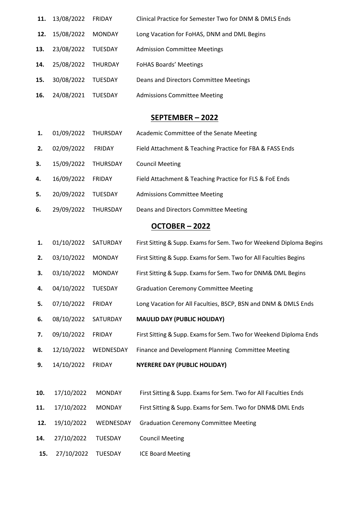| 11. | 13/08/2022 | <b>FRIDAY</b>  | Clinical Practice for Semester Two for DNM & DMLS Ends |
|-----|------------|----------------|--------------------------------------------------------|
| 12. | 15/08/2022 | <b>MONDAY</b>  | Long Vacation for FoHAS, DNM and DML Begins            |
| 13. | 23/08/2022 | <b>TUESDAY</b> | <b>Admission Committee Meetings</b>                    |
| 14. | 25/08/2022 | THURDAY        | <b>FoHAS Boards' Meetings</b>                          |
| 15. | 30/08/2022 | <b>TUESDAY</b> | Deans and Directors Committee Meetings                 |
| 16. | 24/08/2021 | TUESDAY        | <b>Admissions Committee Meeting</b>                    |

#### **SEPTEMBER – 2022**

- **1.** 01/09/2022 THURSDAY Academic Committee of the Senate Meeting
- **2.** 02/09/2022 FRIDAY Field Attachment & Teaching Practice for FBA & FASS Ends
- **3.** 15/09/2022 THURSDAY Council Meeting
- **4.** 16/09/2022 FRIDAY Field Attachment & Teaching Practice for FLS & FoE Ends
- **5.** 20/09/2022 TUESDAY Admissions Committee Meeting
- **6.** 29/09/2022 THURSDAY Deans and Directors Committee Meeting

#### **OCTOBER – 2022**

- **1.** 01/10/2022 SATURDAY First Sitting & Supp. Examsfor Sem. Two for Weekend Diploma Begins
- **2.** 03/10/2022 MONDAY First Sitting & Supp. Examsfor Sem. Two for All Faculties Begins
- **3.** 03/10/2022 MONDAY First Sitting & Supp. Examsfor Sem. Two for DNM& DML Begins
- **4.** 04/10/2022 TUESDAY Graduation Ceremony Committee Meeting
- **5.** 07/10/2022 FRIDAY Long Vacation for All Faculties, BSCP, BSN and DNM & DMLS Ends
- **6.** 08/10/2022 SATURDAY **MAULID DAY (PUBLIC HOLIDAY)**
- **7.** 09/10/2022 FRIDAY First Sitting & Supp. Exams for Sem. Two for Weekend Diploma Ends
- **8.** 12/10/2022 WEDNESDAY Finance and Development Planning Committee Meeting
- **9.** 14/10/2022 FRIDAY **NYERERE DAY (PUBLIC HOLIDAY)**
- **10.** 17/10/2022 MONDAY First Sitting & Supp. Exams for Sem. Two for All Faculties Ends
- **11.** 17/10/2022 MONDAY First Sitting & Supp. Examsfor Sem. Two for DNM& DML Ends
- **12.** 19/10/2022 WEDNESDAY Graduation Ceremony Committee Meeting
- **14.** 27/10/2022 TUESDAY Council Meeting
- **15.** 27/10/2022 TUESDAY ICE Board Meeting